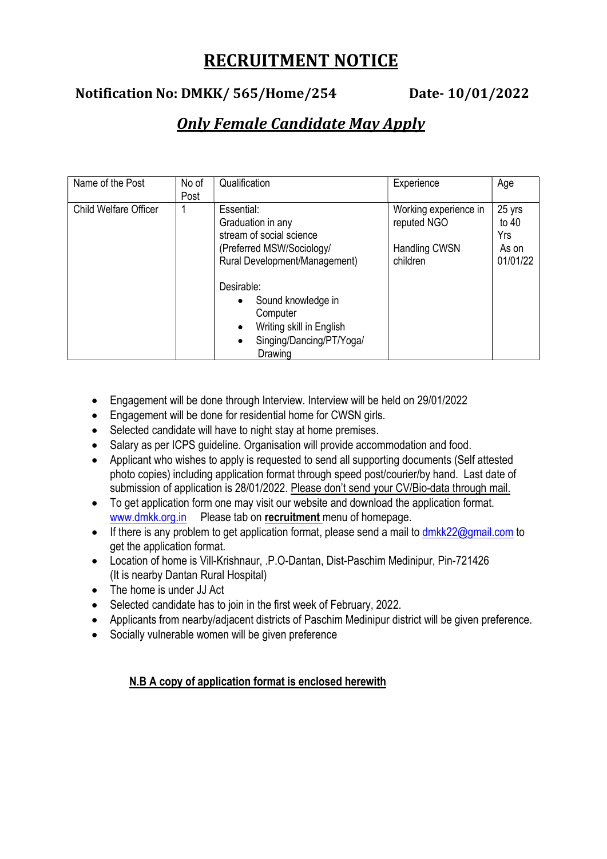# RECRUITMENT NOTICE

### Notification No: DMKK/ 565/Home/254 Date- 10/01/2022

## Only Female Candidate May Apply

| Name of the Post             | No of<br>Post | Qualification                                                                                                                                                                                                                                                          | Experience                                                        | Age                                           |
|------------------------------|---------------|------------------------------------------------------------------------------------------------------------------------------------------------------------------------------------------------------------------------------------------------------------------------|-------------------------------------------------------------------|-----------------------------------------------|
| <b>Child Welfare Officer</b> |               | Essential:<br>Graduation in any<br>stream of social science<br>(Preferred MSW/Sociology/<br>Rural Development/Management)<br>Desirable:<br>Sound knowledge in<br>Computer<br>Writing skill in English<br>$\bullet$<br>Singing/Dancing/PT/Yoga/<br>$\bullet$<br>Drawing | Working experience in<br>reputed NGO<br>Handling CWSN<br>children | 25 yrs<br>to $40$<br>Yrs<br>As on<br>01/01/22 |

- Engagement will be done through Interview. Interview will be held on 29/01/2022
- Engagement will be done for residential home for CWSN girls.
- Selected candidate will have to night stay at home premises.
- Salary as per ICPS guideline. Organisation will provide accommodation and food.
- Applicant who wishes to apply is requested to send all supporting documents (Self attested photo copies) including application format through speed post/courier/by hand. Last date of submission of application is 28/01/2022. Please don't send your CV/Bio-data through mail.
- To get application form one may visit our website and download the application format. www.dmkk.org.in Please tab on recruitment menu of homepage.
- If there is any problem to get application format, please send a mail to  $dmkk22@gmail.com$  to get the application format.
- Location of home is Vill-Krishnaur, .P.O-Dantan, Dist-Paschim Medinipur, Pin-721426 (It is nearby Dantan Rural Hospital)
- The home is under JJ Act
- Selected candidate has to join in the first week of February, 2022.
- Applicants from nearby/adjacent districts of Paschim Medinipur district will be given preference.
- Socially vulnerable women will be given preference

#### N.B A copy of application format is enclosed herewith